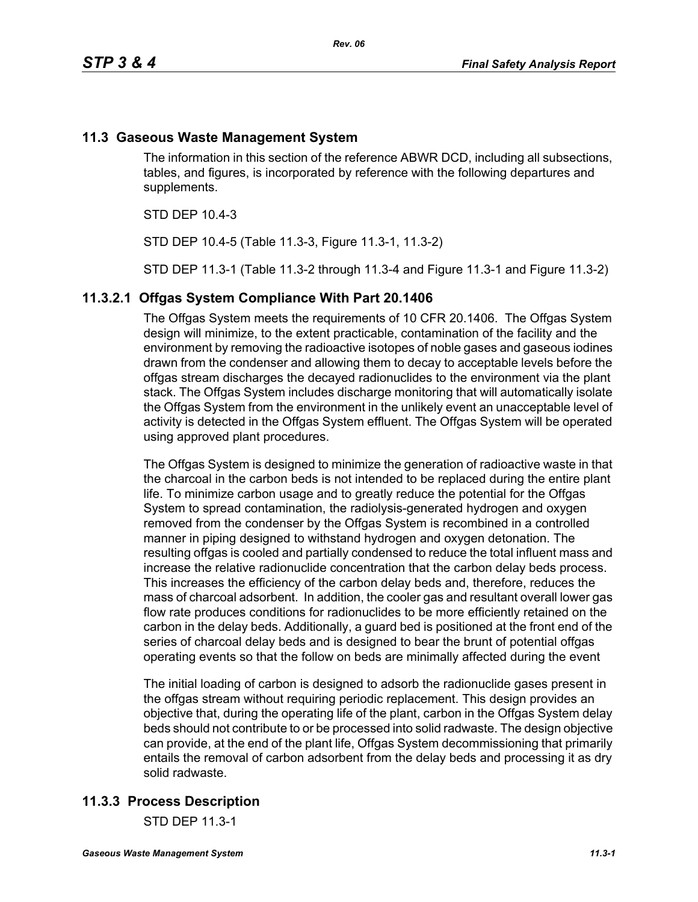## **11.3 Gaseous Waste Management System**

The information in this section of the reference ABWR DCD, including all subsections, tables, and figures, is incorporated by reference with the following departures and supplements.

STD DEP 10.4-3

STD DEP 10.4-5 (Table 11.3-3, Figure 11.3-1, 11.3-2)

STD DEP 11.3-1 (Table 11.3-2 through 11.3-4 and Figure 11.3-1 and Figure 11.3-2)

### **11.3.2.1 Offgas System Compliance With Part 20.1406**

The Offgas System meets the requirements of 10 CFR 20.1406. The Offgas System design will minimize, to the extent practicable, contamination of the facility and the environment by removing the radioactive isotopes of noble gases and gaseous iodines drawn from the condenser and allowing them to decay to acceptable levels before the offgas stream discharges the decayed radionuclides to the environment via the plant stack. The Offgas System includes discharge monitoring that will automatically isolate the Offgas System from the environment in the unlikely event an unacceptable level of activity is detected in the Offgas System effluent. The Offgas System will be operated using approved plant procedures.

The Offgas System is designed to minimize the generation of radioactive waste in that the charcoal in the carbon beds is not intended to be replaced during the entire plant life. To minimize carbon usage and to greatly reduce the potential for the Offgas System to spread contamination, the radiolysis-generated hydrogen and oxygen removed from the condenser by the Offgas System is recombined in a controlled manner in piping designed to withstand hydrogen and oxygen detonation. The resulting offgas is cooled and partially condensed to reduce the total influent mass and increase the relative radionuclide concentration that the carbon delay beds process. This increases the efficiency of the carbon delay beds and, therefore, reduces the mass of charcoal adsorbent. In addition, the cooler gas and resultant overall lower gas flow rate produces conditions for radionuclides to be more efficiently retained on the carbon in the delay beds. Additionally, a guard bed is positioned at the front end of the series of charcoal delay beds and is designed to bear the brunt of potential offgas operating events so that the follow on beds are minimally affected during the event

The initial loading of carbon is designed to adsorb the radionuclide gases present in the offgas stream without requiring periodic replacement. This design provides an objective that, during the operating life of the plant, carbon in the Offgas System delay beds should not contribute to or be processed into solid radwaste. The design objective can provide, at the end of the plant life, Offgas System decommissioning that primarily entails the removal of carbon adsorbent from the delay beds and processing it as dry solid radwaste.

## **11.3.3 Process Description**

STD DEP 11.3-1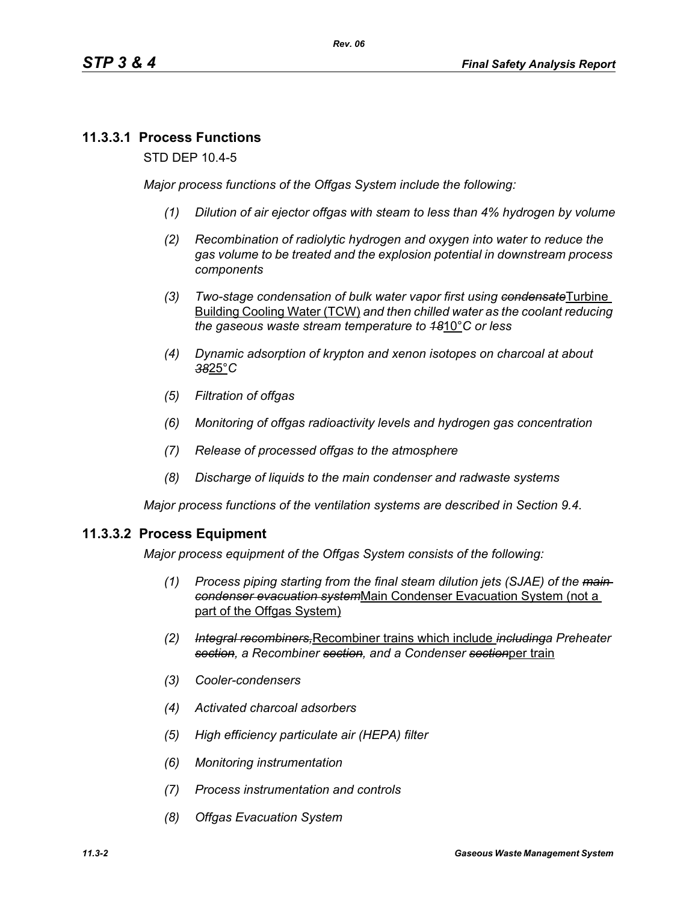## **11.3.3.1 Process Functions**

STD DEP 10.4-5

*Major process functions of the Offgas System include the following:*

- *(1) Dilution of air ejector offgas with steam to less than 4% hydrogen by volume*
- *(2) Recombination of radiolytic hydrogen and oxygen into water to reduce the gas volume to be treated and the explosion potential in downstream process components*
- *(3) Two-stage condensation of bulk water vapor first using condensate*Turbine Building Cooling Water (TCW) *and then chilled water as the coolant reducing the gaseous waste stream temperature to 18*10°*C or less*
- *(4) Dynamic adsorption of krypton and xenon isotopes on charcoal at about 38*25°*C*
- *(5) Filtration of offgas*
- *(6) Monitoring of offgas radioactivity levels and hydrogen gas concentration*
- *(7) Release of processed offgas to the atmosphere*
- *(8) Discharge of liquids to the main condenser and radwaste systems*

*Major process functions of the ventilation systems are described in Section 9.4.*

### **11.3.3.2 Process Equipment**

*Major process equipment of the Offgas System consists of the following:*

- *(1) Process piping starting from the final steam dilution jets (SJAE) of the main condenser evacuation system*Main Condenser Evacuation System (not a part of the Offgas System)
- *(2) Integral recombiners,*Recombiner trains which include *includinga Preheater section, a Recombiner section, and a Condenser section*per train
- *(3) Cooler-condensers*
- *(4) Activated charcoal adsorbers*
- *(5) High efficiency particulate air (HEPA) filter*
- *(6) Monitoring instrumentation*
- *(7) Process instrumentation and controls*
- *(8) Offgas Evacuation System*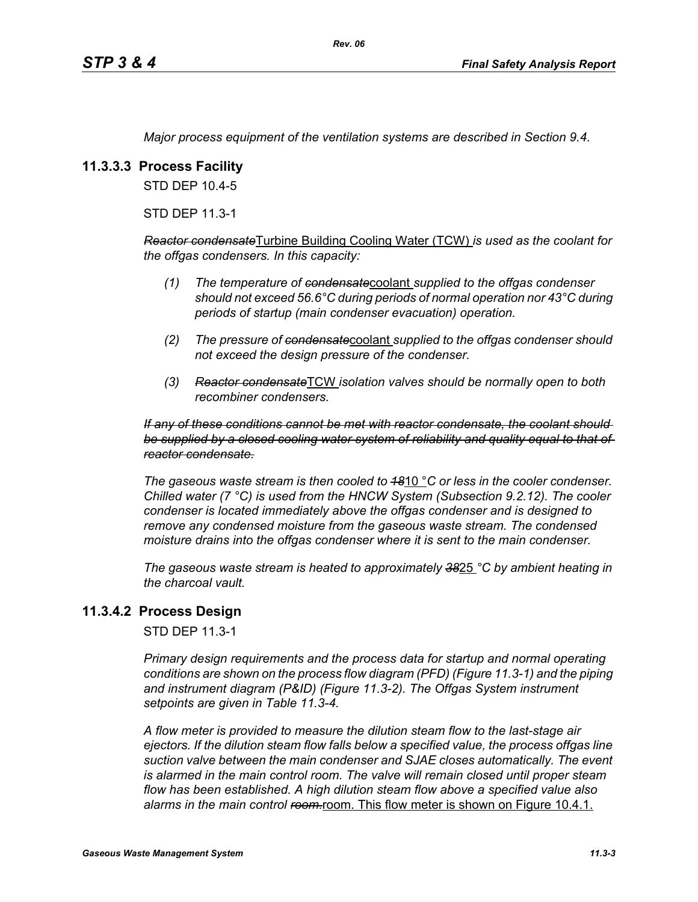*Major process equipment of the ventilation systems are described in Section 9.4.*

## **11.3.3.3 Process Facility**

STD DEP 10.4-5

STD DEP 11.3-1

*Reactor condensate*Turbine Building Cooling Water (TCW) *is used as the coolant for the offgas condensers. In this capacity:*

- *(1) The temperature of condensate*coolant *supplied to the offgas condenser should not exceed 56.6°C during periods of normal operation nor 43°C during periods of startup (main condenser evacuation) operation.*
- *(2) The pressure of condensate*coolant *supplied to the offgas condenser should not exceed the design pressure of the condenser.*
- *(3) Reactor condensate*TCW *isolation valves should be normally open to both recombiner condensers.*

#### *If any of these conditions cannot be met with reactor condensate, the coolant should be supplied by a closed cooling water system of reliability and quality equal to that of reactor condensate.*

*The gaseous waste stream is then cooled to 18*10 °*C or less in the cooler condenser. Chilled water (7 °C) is used from the HNCW System (Subsection 9.2.12). The cooler condenser is located immediately above the offgas condenser and is designed to remove any condensed moisture from the gaseous waste stream. The condensed moisture drains into the offgas condenser where it is sent to the main condenser.*

*The gaseous waste stream is heated to approximately 38*25 *°C by ambient heating in the charcoal vault.*

## **11.3.4.2 Process Design**

STD DEP 11.3-1

*Primary design requirements and the process data for startup and normal operating conditions are shown on the process flow diagram (PFD) (Figure 11.3-1) and the piping and instrument diagram (P&ID) (Figure 11.3-2). The Offgas System instrument setpoints are given in Table 11.3-4.*

*A flow meter is provided to measure the dilution steam flow to the last-stage air ejectors. If the dilution steam flow falls below a specified value, the process offgas line suction valve between the main condenser and SJAE closes automatically. The event*  is alarmed in the main control room. The valve will remain closed until proper steam *flow has been established. A high dilution steam flow above a specified value also*  alarms in the main control ream-room. This flow meter is shown on Figure 10.4.1.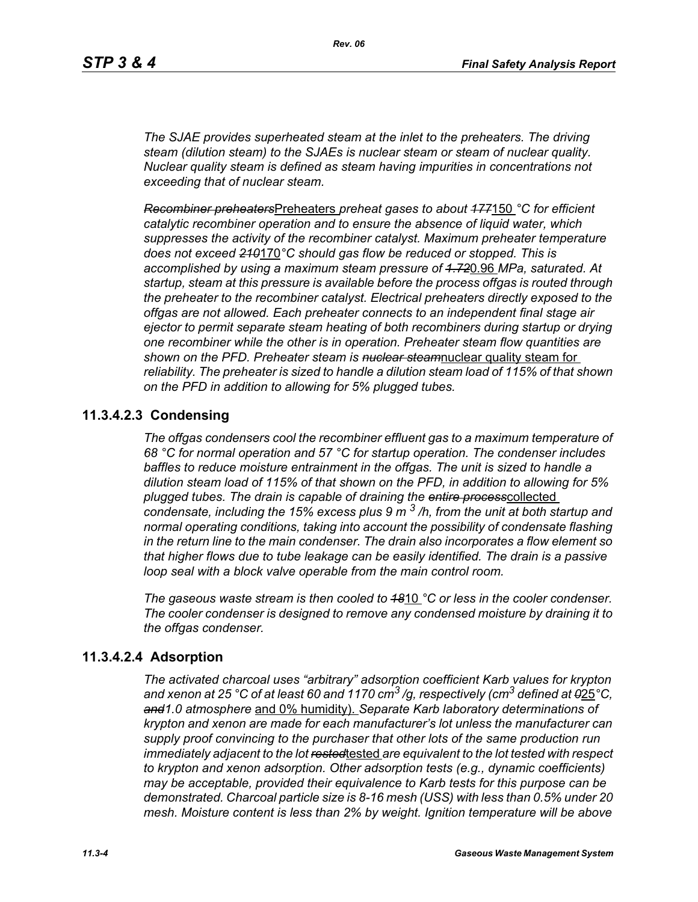*The SJAE provides superheated steam at the inlet to the preheaters. The driving steam (dilution steam) to the SJAEs is nuclear steam or steam of nuclear quality. Nuclear quality steam is defined as steam having impurities in concentrations not exceeding that of nuclear steam.*

*Recombiner preheaters*Preheaters *preheat gases to about 177*150 *°C for efficient catalytic recombiner operation and to ensure the absence of liquid water, which suppresses the activity of the recombiner catalyst. Maximum preheater temperature does not exceed 210*170*°C should gas flow be reduced or stopped. This is accomplished by using a maximum steam pressure of 1.72*0.96 *MPa, saturated. At startup, steam at this pressure is available before the process offgas is routed through the preheater to the recombiner catalyst. Electrical preheaters directly exposed to the offgas are not allowed. Each preheater connects to an independent final stage air ejector to permit separate steam heating of both recombiners during startup or drying one recombiner while the other is in operation. Preheater steam flow quantities are shown on the PFD. Preheater steam is nuclear steam*nuclear quality steam for *reliability. The preheater is sized to handle a dilution steam load of 115% of that shown on the PFD in addition to allowing for 5% plugged tubes.*

## **11.3.4.2.3 Condensing**

*The offgas condensers cool the recombiner effluent gas to a maximum temperature of 68 °C for normal operation and 57 °C for startup operation. The condenser includes baffles to reduce moisture entrainment in the offgas. The unit is sized to handle a dilution steam load of 115% of that shown on the PFD, in addition to allowing for 5% plugged tubes. The drain is capable of draining the entire process*collected *condensate, including the 15% excess plus 9 m 3 /h, from the unit at both startup and normal operating conditions, taking into account the possibility of condensate flashing in the return line to the main condenser. The drain also incorporates a flow element so that higher flows due to tube leakage can be easily identified. The drain is a passive loop seal with a block valve operable from the main control room.* 

*The gaseous waste stream is then cooled to 18*10 *°C or less in the cooler condenser. The cooler condenser is designed to remove any condensed moisture by draining it to the offgas condenser.*

## **11.3.4.2.4 Adsorption**

*The activated charcoal uses "arbitrary" adsorption coefficient Karb values for krypton and xenon at 25 °C of at least 60 and 1170 cm3 /g, respectively (cm3 defined at 0*25*°C, and1.0 atmosphere* and 0% humidity). *Separate Karb laboratory determinations of krypton and xenon are made for each manufacturer's lot unless the manufacturer can supply proof convincing to the purchaser that other lots of the same production run immediately adjacent to the lot rested*tested *are equivalent to the lot tested with respect to krypton and xenon adsorption. Other adsorption tests (e.g., dynamic coefficients) may be acceptable, provided their equivalence to Karb tests for this purpose can be demonstrated. Charcoal particle size is 8-16 mesh (USS) with less than 0.5% under 20 mesh. Moisture content is less than 2% by weight. Ignition temperature will be above*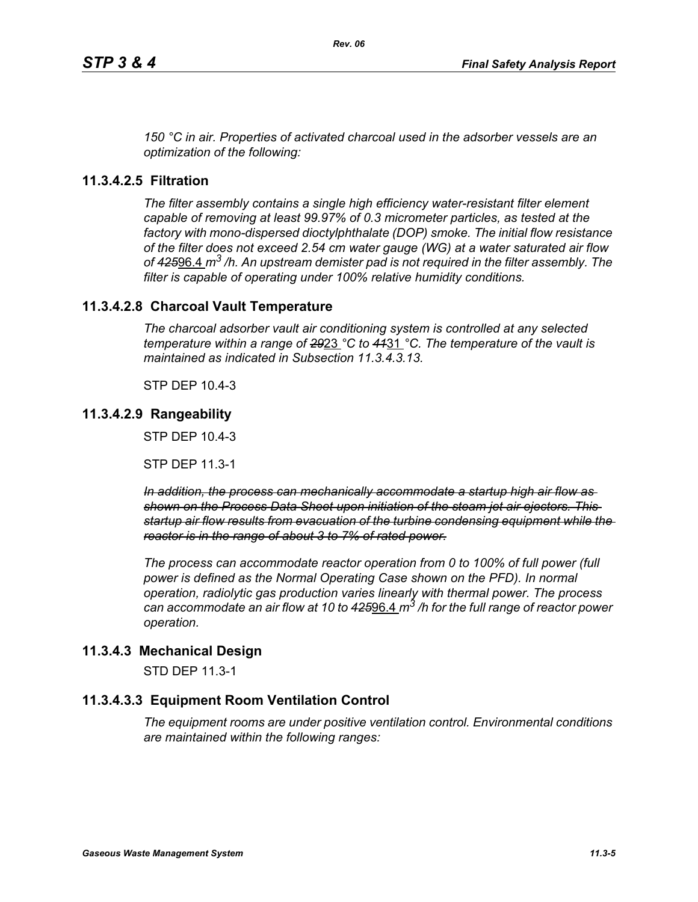*150 °C in air. Properties of activated charcoal used in the adsorber vessels are an optimization of the following:*

## **11.3.4.2.5 Filtration**

*The filter assembly contains a single high efficiency water-resistant filter element capable of removing at least 99.97% of 0.3 micrometer particles, as tested at the factory with mono-dispersed dioctylphthalate (DOP) smoke. The initial flow resistance of the filter does not exceed 2.54 cm water gauge (WG) at a water saturated air flow of 425*96.4 *m3 /h. An upstream demister pad is not required in the filter assembly. The filter is capable of operating under 100% relative humidity conditions.*

## **11.3.4.2.8 Charcoal Vault Temperature**

*The charcoal adsorber vault air conditioning system is controlled at any selected temperature within a range of 29*23 *°C to 41*31 *°C. The temperature of the vault is maintained as indicated in Subsection 11.3.4.3.13.*

STP DEP 10.4-3

## **11.3.4.2.9 Rangeability**

STP DEP 10.4-3

STP DEP 11.3-1

*In addition, the process can mechanically accommodate a startup high air flow as shown on the Process Data Sheet upon initiation of the steam jet air ejectors. This startup air flow results from evacuation of the turbine condensing equipment while the reactor is in the range of about 3 to 7% of rated power.*

*The process can accommodate reactor operation from 0 to 100% of full power (full power is defined as the Normal Operating Case shown on the PFD). In normal operation, radiolytic gas production varies linearly with thermal power. The process can accommodate an air flow at 10 to 425*96.4 *m3 /h for the full range of reactor power operation.*

## **11.3.4.3 Mechanical Design**

STD DEP 11.3-1

## **11.3.4.3.3 Equipment Room Ventilation Control**

*The equipment rooms are under positive ventilation control. Environmental conditions are maintained within the following ranges:*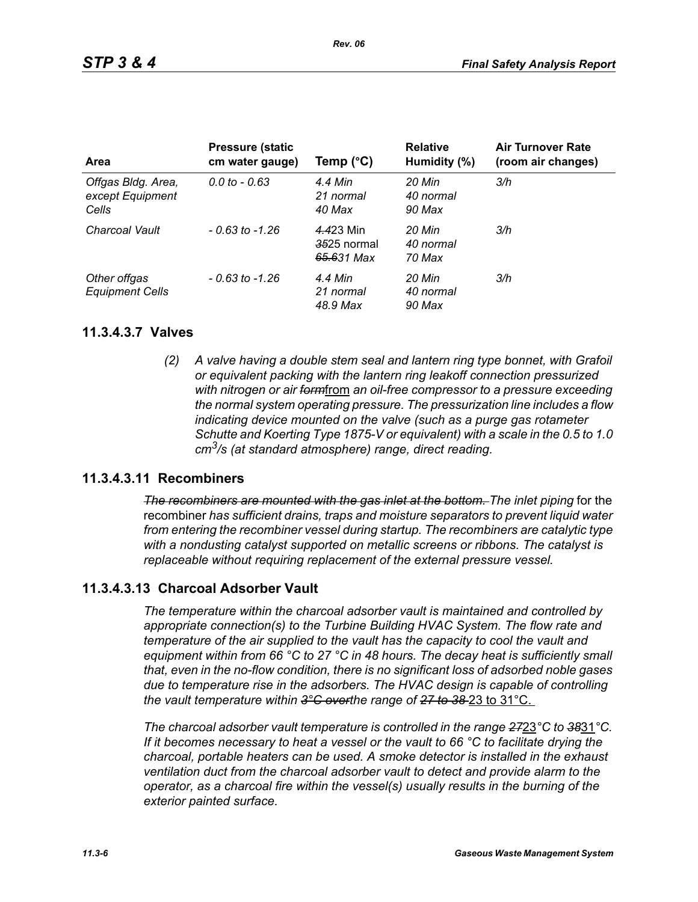| <b>Area</b>                                     | <b>Pressure (static</b><br>cm water gauge) | Temp $(^{\circ}C)$                     | <b>Relative</b><br>Humidity (%) | <b>Air Turnover Rate</b><br>(room air changes) |
|-------------------------------------------------|--------------------------------------------|----------------------------------------|---------------------------------|------------------------------------------------|
| Offgas Bldg. Area,<br>except Equipment<br>Cells | $0.0 \text{ to } -0.63$                    | 4.4 Min<br>21 normal<br>40 Max         | 20 Min<br>40 normal<br>90 Max   | 3/h                                            |
| Charcoal Vault                                  | $-0.63$ to $-1.26$                         | 4.423 Min<br>3525 normal<br>65.631 Max | 20 Min<br>40 normal<br>70 Max   | 3/h                                            |
| Other offgas<br><b>Equipment Cells</b>          | $-0.63$ to $-1.26$                         | 4.4 Min<br>21 normal<br>48.9 Max       | 20 Min<br>40 normal<br>90 Max   | 3/h                                            |

### **11.3.4.3.7 Valves**

*(2) A valve having a double stem seal and lantern ring type bonnet, with Grafoil or equivalent packing with the lantern ring leakoff connection pressurized with nitrogen or air form*from *an oil-free compressor to a pressure exceeding the normal system operating pressure. The pressurization line includes a flow indicating device mounted on the valve (such as a purge gas rotameter Schutte and Koerting Type 1875-V or equivalent) with a scale in the 0.5 to 1.0 cm3/s (at standard atmosphere) range, direct reading.*

## **11.3.4.3.11 Recombiners**

*The recombiners are mounted with the gas inlet at the bottom. The inlet piping for the* recombiner *has sufficient drains, traps and moisture separators to prevent liquid water from entering the recombiner vessel during startup. The recombiners are catalytic type with a nondusting catalyst supported on metallic screens or ribbons. The catalyst is replaceable without requiring replacement of the external pressure vessel.*

## **11.3.4.3.13 Charcoal Adsorber Vault**

*The temperature within the charcoal adsorber vault is maintained and controlled by appropriate connection(s) to the Turbine Building HVAC System. The flow rate and temperature of the air supplied to the vault has the capacity to cool the vault and equipment within from 66 °C to 27 °C in 48 hours. The decay heat is sufficiently small that, even in the no-flow condition, there is no significant loss of adsorbed noble gases due to temperature rise in the adsorbers. The HVAC design is capable of controlling the vault temperature within 3°C overthe range of 27 to 38* 23 to 31°C.

*The charcoal adsorber vault temperature is controlled in the range 27*23*°C to 38*31*°C. If it becomes necessary to heat a vessel or the vault to 66 °C to facilitate drying the charcoal, portable heaters can be used. A smoke detector is installed in the exhaust ventilation duct from the charcoal adsorber vault to detect and provide alarm to the operator, as a charcoal fire within the vessel(s) usually results in the burning of the exterior painted surface.*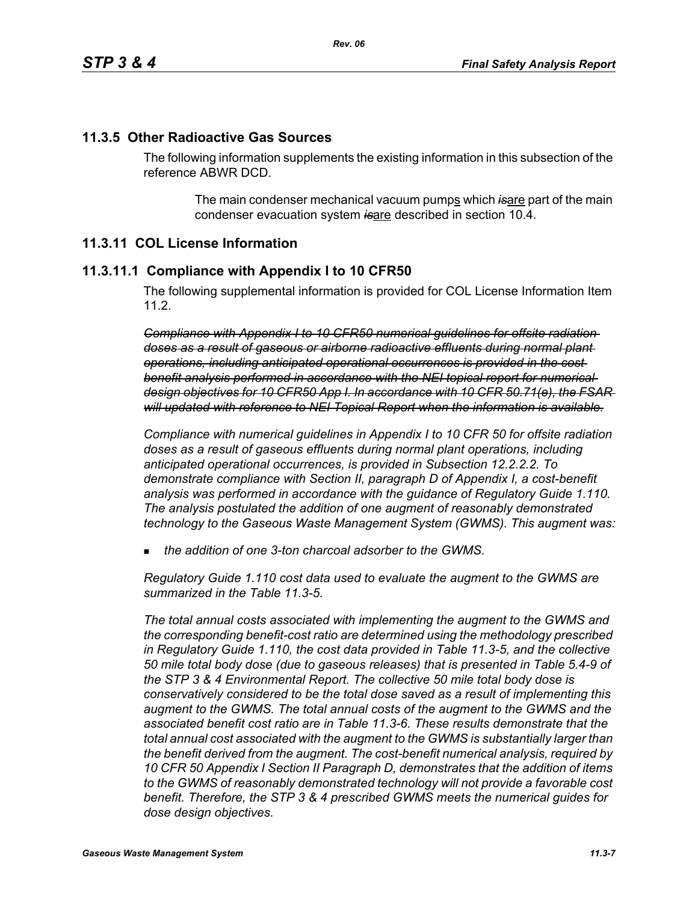## **11.3.5 Other Radioactive Gas Sources**

The following information supplements the existing information in this subsection of the reference ABWR DCD.

> The main condenser mechanical vacuum pumps which is are part of the main condenser evacuation system *is*are described in section 10.4.

## **11.3.11 COL License Information**

### **11.3.11.1 Compliance with Appendix I to 10 CFR50**

The following supplemental information is provided for COL License Information Item 11.2.

*Compliance with Appendix I to 10 CFR50 numerical guidelines for offsite radiation doses as a result of gaseous or airborne radioactive effluents during normal plant operations, including anticipated operational occurrences is provided in the cost benefit analysis performed in accordance with the NEI topical report for numerical design objectives for 10 CFR50 App I. In accordance with 10 CFR 50.71(e), the FSAR will updated with reference to NEI Topical Report when the information is available.*

*Compliance with numerical guidelines in Appendix I to 10 CFR 50 for offsite radiation doses as a result of gaseous effluents during normal plant operations, including anticipated operational occurrences, is provided in Subsection 12.2.2.2. To demonstrate compliance with Section II, paragraph D of Appendix I, a cost-benefit analysis was performed in accordance with the guidance of Regulatory Guide 1.110. The analysis postulated the addition of one augment of reasonably demonstrated technology to the Gaseous Waste Management System (GWMS). This augment was:*

*the addition of one 3-ton charcoal adsorber to the GWMS.*

*Regulatory Guide 1.110 cost data used to evaluate the augment to the GWMS are summarized in the Table 11.3-5.* 

*The total annual costs associated with implementing the augment to the GWMS and the corresponding benefit-cost ratio are determined using the methodology prescribed in Regulatory Guide 1.110, the cost data provided in Table 11.3-5, and the collective 50 mile total body dose (due to gaseous releases) that is presented in Table 5.4-9 of the STP 3 & 4 Environmental Report. The collective 50 mile total body dose is conservatively considered to be the total dose saved as a result of implementing this augment to the GWMS. The total annual costs of the augment to the GWMS and the associated benefit cost ratio are in Table 11.3-6. These results demonstrate that the total annual cost associated with the augment to the GWMS is substantially larger than the benefit derived from the augment. The cost-benefit numerical analysis, required by 10 CFR 50 Appendix I Section II Paragraph D, demonstrates that the addition of items to the GWMS of reasonably demonstrated technology will not provide a favorable cost benefit. Therefore, the STP 3 & 4 prescribed GWMS meets the numerical guides for dose design objectives.*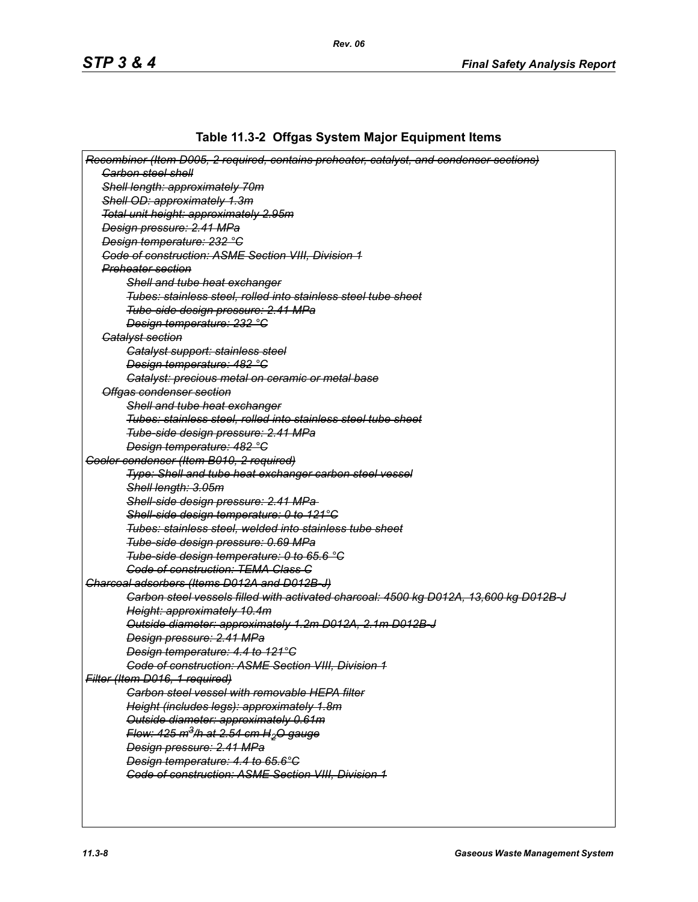# **Table 11.3-2 Offgas System Major Equipment Items**

| Recombiner (Item D005, 2 required, contains preheater, catalyst, and condenser sections) |
|------------------------------------------------------------------------------------------|
| <b>Garbon steel shell</b>                                                                |
| Shell length: approximately 70m                                                          |
| Shell OD: approximately 1.3m                                                             |
| Total unit height: approximately 2.95m                                                   |
| Design pressure: 2.41 MPa                                                                |
| Design temperature: 232 °C                                                               |
| <b>Code of construction: ASME Section VIII, Division 1</b>                               |
| <u>Preheater section</u>                                                                 |
| <b>Shell and tube heat exchanger</b>                                                     |
| Tubes: stainless steel, rolled into stainless steel tube sheet                           |
| Tube-side design pressure: 2.41 MPa                                                      |
| Design temperature: 232 °C                                                               |
| <b>Catalyst section</b>                                                                  |
| Catalyst support: stainless steel                                                        |
| Design temperature: 482 °C                                                               |
| Gatalyst: precious metal on ceramic or metal base                                        |
| Offgas condenser section                                                                 |
| Shell and tube heat exchanger                                                            |
| Tubes: stainless steel, rolled into stainless steel tube sheet                           |
|                                                                                          |
| Tube-side design pressure: 2.41 MPa                                                      |
| Design temperature: 482 °C                                                               |
| Gooler condenser (Item B010, 2 required)                                                 |
| Type: Shell and tube heat exchanger carbon steel vessel                                  |
| Shell length: 3.05m                                                                      |
| Shell-side design pressure: 2.41 MPa-                                                    |
| Shell-side design temperature: 0 to 121°C                                                |
| Tubes: stainless steel, welded into stainless tube sheet                                 |
| Tube-side design pressure: 0.69 MPa                                                      |
| Tube-side design temperature: 0 to 65.6 °C                                               |
| <b>Code of construction: TEMA Class C</b>                                                |
| Charcoal adsorbers (Items D012A and D012B-J)                                             |
| Carbon steel vessels filled with activated charcoal: 4500 kg D012A, 13,600 kg D012B-J    |
| Height: approximately 10.4m                                                              |
| Outside diameter: approximately 1.2m D012A, 2.1m D012B-J                                 |
| Design pressure: 2.41 MPa                                                                |
| Design temperature: 4.4 to 121°C                                                         |
| Code of construction: ASME Section VIII, Division 1                                      |
| Filter (Item D016, 1 required)                                                           |
| <b>Carbon steel vessel with removable HEPA filter</b>                                    |
| Height (includes legs): approximately 1.8m                                               |
| Outside diameter: approximately 0.61m                                                    |
| Flow: 425 m <sup>3</sup> /h at 2.54 cm H <sub>2</sub> O gauge                            |
| Design pressure: 2.41 MPa                                                                |
| Design temperature: 4.4 to 65.6°C                                                        |
| <b>Code of construction: ASME Section VIII, Division 1</b>                               |
|                                                                                          |
|                                                                                          |
|                                                                                          |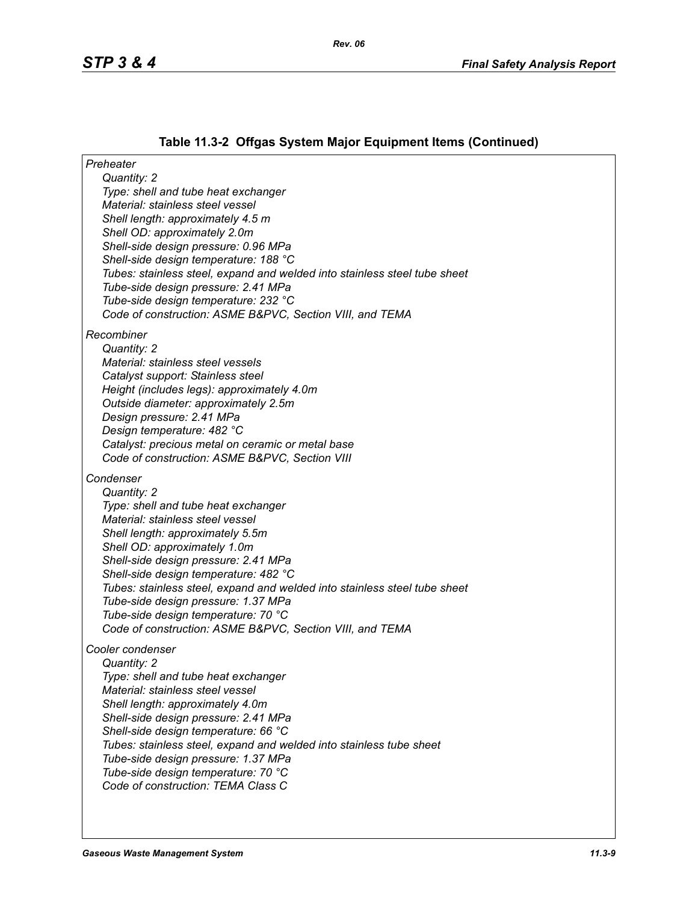# **Table 11.3-2 Offgas System Major Equipment Items (Continued)**

| Preheater                                                                                                        |
|------------------------------------------------------------------------------------------------------------------|
| Quantity: 2                                                                                                      |
| Type: shell and tube heat exchanger<br>Material: stainless steel vessel                                          |
| Shell length: approximately 4.5 m                                                                                |
| Shell OD: approximately 2.0m                                                                                     |
| Shell-side design pressure: 0.96 MPa                                                                             |
| Shell-side design temperature: 188 °C                                                                            |
| Tubes: stainless steel, expand and welded into stainless steel tube sheet                                        |
| Tube-side design pressure: 2.41 MPa                                                                              |
| Tube-side design temperature: 232 °C                                                                             |
| Code of construction: ASME B&PVC, Section VIII, and TEMA                                                         |
| Recombiner                                                                                                       |
| Quantity: 2                                                                                                      |
| Material: stainless steel vessels                                                                                |
| Catalyst support: Stainless steel                                                                                |
| Height (includes legs): approximately 4.0m                                                                       |
| Outside diameter: approximately 2.5m                                                                             |
| Design pressure: 2.41 MPa<br>Design temperature: 482 °C                                                          |
| Catalyst: precious metal on ceramic or metal base                                                                |
| Code of construction: ASME B&PVC, Section VIII                                                                   |
| Condenser                                                                                                        |
| Quantity: 2                                                                                                      |
| Type: shell and tube heat exchanger                                                                              |
| Material: stainless steel vessel                                                                                 |
| Shell length: approximately 5.5m                                                                                 |
| Shell OD: approximately 1.0m                                                                                     |
| Shell-side design pressure: 2.41 MPa                                                                             |
| Shell-side design temperature: 482 °C                                                                            |
| Tubes: stainless steel, expand and welded into stainless steel tube sheet<br>Tube-side design pressure: 1.37 MPa |
| Tube-side design temperature: 70 °C                                                                              |
| Code of construction: ASME B&PVC, Section VIII, and TEMA                                                         |
|                                                                                                                  |
| Cooler condenser<br>Quantity: 2                                                                                  |
| Type: shell and tube heat exchanger                                                                              |
| Material: stainless steel vessel                                                                                 |
| Shell length: approximately 4.0m                                                                                 |
| Shell-side design pressure: 2.41 MPa                                                                             |
| Shell-side design temperature: 66 °C                                                                             |
| Tubes: stainless steel, expand and welded into stainless tube sheet                                              |
| Tube-side design pressure: 1.37 MPa                                                                              |
| Tube-side design temperature: 70 °C<br>Code of construction: TEMA Class C                                        |
|                                                                                                                  |
|                                                                                                                  |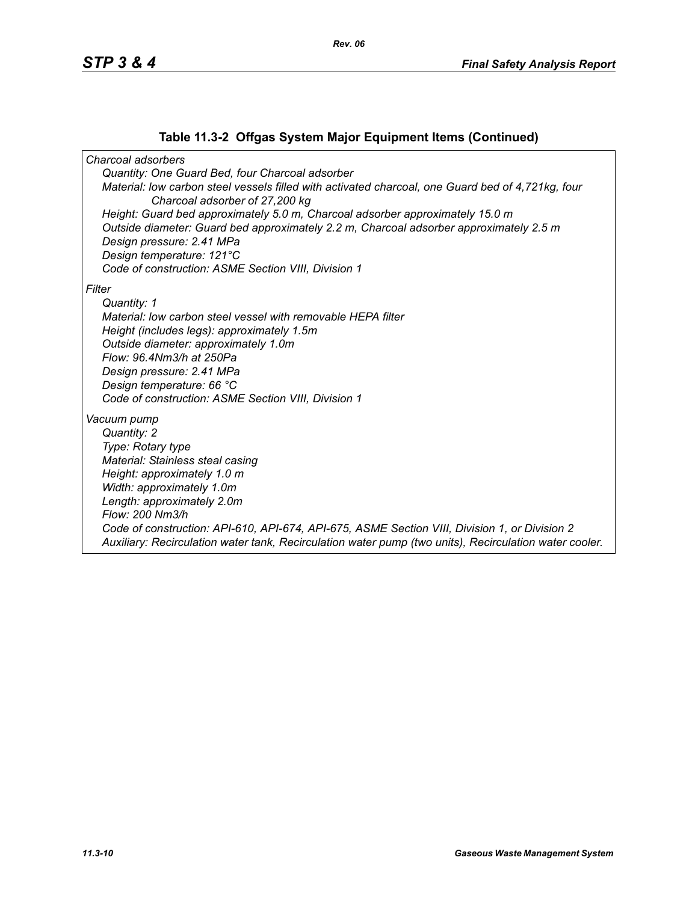### **Table 11.3-2 Offgas System Major Equipment Items (Continued)**

*Charcoal adsorbers Quantity: One Guard Bed, four Charcoal adsorber Material: low carbon steel vessels filled with activated charcoal, one Guard bed of 4,721kg, four Charcoal adsorber of 27,200 kg Height: Guard bed approximately 5.0 m, Charcoal adsorber approximately 15.0 m Outside diameter: Guard bed approximately 2.2 m, Charcoal adsorber approximately 2.5 m Design pressure: 2.41 MPa Design temperature: 121°C Code of construction: ASME Section VIII, Division 1 Filter Quantity: 1 Material: low carbon steel vessel with removable HEPA filter Height (includes legs): approximately 1.5m Outside diameter: approximately 1.0m Flow: 96.4Nm3/h at 250Pa Design pressure: 2.41 MPa Design temperature: 66 °C Code of construction: ASME Section VIII, Division 1 Vacuum pump Quantity: 2 Type: Rotary type Material: Stainless steal casing Height: approximately 1.0 m Width: approximately 1.0m Length: approximately 2.0m Flow: 200 Nm3/h Code of construction: API-610, API-674, API-675, ASME Section VIII, Division 1, or Division 2 Auxiliary: Recirculation water tank, Recirculation water pump (two units), Recirculation water cooler.*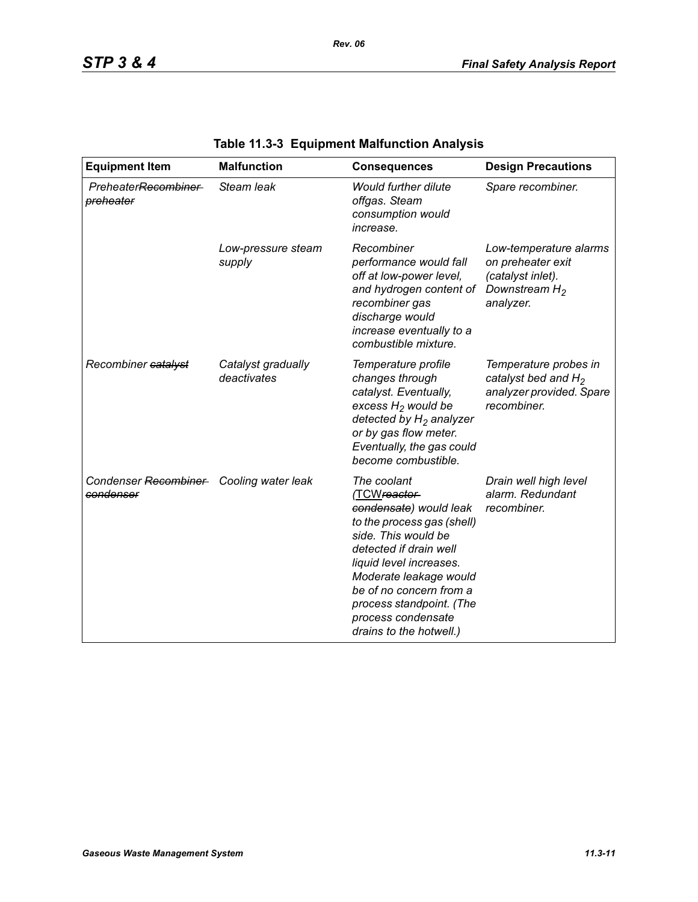| <b>Equipment Item</b>                                | <b>Malfunction</b>                | <b>Consequences</b>                                                                                                                                                                                                                                                                               | <b>Design Precautions</b>                                                                         |
|------------------------------------------------------|-----------------------------------|---------------------------------------------------------------------------------------------------------------------------------------------------------------------------------------------------------------------------------------------------------------------------------------------------|---------------------------------------------------------------------------------------------------|
| PreheaterRecombiner<br>preheater                     | Steam leak                        | Would further dilute<br>offgas. Steam<br>consumption would<br>increase.                                                                                                                                                                                                                           | Spare recombiner.                                                                                 |
|                                                      | Low-pressure steam<br>supply      | Recombiner<br>performance would fall<br>off at low-power level,<br>and hydrogen content of<br>recombiner gas<br>discharge would<br>increase eventually to a<br>combustible mixture.                                                                                                               | Low-temperature alarms<br>on preheater exit<br>(catalyst inlet).<br>Downstream $H_2$<br>analyzer. |
| Recombiner catalyst                                  | Catalyst gradually<br>deactivates | Temperature profile<br>changes through<br>catalyst. Eventually,<br>excess $H_2$ would be<br>detected by $H_2$ analyzer<br>or by gas flow meter.<br>Eventually, the gas could<br>become combustible.                                                                                               | Temperature probes in<br>catalyst bed and $H_2$<br>analyzer provided. Spare<br>recombiner.        |
| Condenser Recombiner Cooling water leak<br>condenser |                                   | The coolant<br>(TCWreactor-<br>condensate) would leak<br>to the process gas (shell)<br>side. This would be<br>detected if drain well<br>liquid level increases.<br>Moderate leakage would<br>be of no concern from a<br>process standpoint. (The<br>process condensate<br>drains to the hotwell.) | Drain well high level<br>alarm. Redundant<br>recombiner.                                          |

# **Table 11.3-3 Equipment Malfunction Analysis**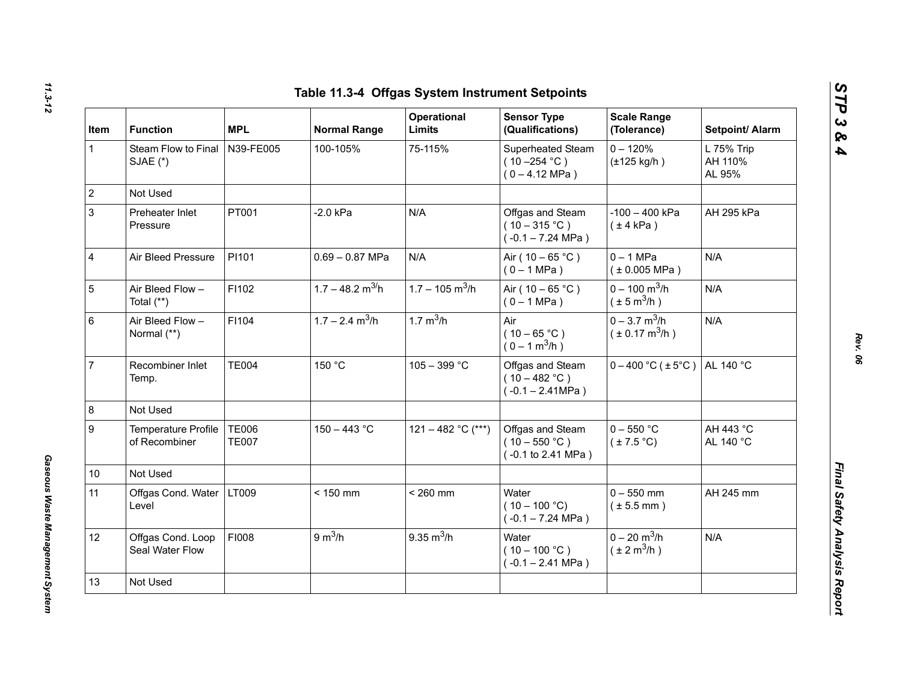| Item         | <b>Function</b>                      | <b>MPL</b>                   | <b>Normal Range</b>            | Operational<br>Limits         | <b>Sensor Type</b><br>(Qualifications)                           | <b>Scale Range</b><br>(Tolerance)                             | Setpoint/ Alarm                 |
|--------------|--------------------------------------|------------------------------|--------------------------------|-------------------------------|------------------------------------------------------------------|---------------------------------------------------------------|---------------------------------|
| $\mathbf{1}$ | Steam Flow to Final<br>SJAE (*)      | N39-FE005                    | 100-105%                       | 75-115%                       | Superheated Steam<br>$(10 - 254 °C)$<br>$(0 - 4.12 \text{ MPa})$ | $0 - 120%$<br>$(\pm 125$ kg/h)                                | L 75% Trip<br>AH 110%<br>AL 95% |
|              | Not Used                             |                              |                                |                               |                                                                  |                                                               |                                 |
|              | Preheater Inlet<br>Pressure          | PT001                        | $-2.0$ kPa                     | N/A                           | Offgas and Steam<br>$(10-315 °C)$<br>$(-0.1 - 7.24 \text{ MPa})$ | $-100 - 400$ kPa<br>$(\pm 4$ kPa)                             | AH 295 kPa                      |
|              | Air Bleed Pressure                   | PI101                        | $0.69 - 0.87$ MPa              | N/A                           | Air ( $10 - 65$ °C)<br>$(0 - 1 MPa)$                             | $0 - 1$ MPa<br>$(*0.005 MPa)$                                 | N/A                             |
|              | Air Bleed Flow -<br>Total (**)       | F1102                        | $1.7 - 48.2$ m <sup>3/</sup> h | $1.7 - 105$ m <sup>3</sup> /h | Air ( $10 - 65$ °C)<br>$(0 - 1 MPa)$                             | $0 - 100$ m <sup>3</sup> /h<br>$(\pm 5 \text{ m}^3/\text{h})$ | N/A                             |
|              | Air Bleed Flow -<br>Normal (**)      | F1104                        | $1.7 - 2.4$ m <sup>3</sup> /h  | 1.7 $m^3/h$                   | Air<br>$(10 - 65 °C)$<br>$(0 - 1 m^3/h)$                         | $0 - 3.7$ m <sup>3</sup> /h<br>$(\pm 0.17 \text{ m}^3/h)$     | N/A                             |
|              | Recombiner Inlet<br>Temp.            | <b>TE004</b>                 | 150 °C                         | $105 - 399 °C$                | Offgas and Steam<br>$(10 - 482 °C)$<br>$(-0.1 - 2.41 MPa)$       | $0 - 400$ °C ( $\pm 5$ °C)                                    | AL 140 °C                       |
|              | Not Used                             |                              |                                |                               |                                                                  |                                                               |                                 |
|              | Temperature Profile<br>of Recombiner | <b>TE006</b><br><b>TE007</b> | $150 - 443 °C$                 | 121 - 482 °C (***)            | Offgas and Steam<br>$(10 - 550 °C)$<br>(-0.1 to 2.41 MPa)        | $0 - 550$ °C<br>$(\pm 7.5^{\circ}C)$                          | AH 443 °C<br>AL 140 °C          |
| 10           | Not Used                             |                              |                                |                               |                                                                  |                                                               |                                 |
| 11           | Offgas Cond. Water<br>Level          | LT009                        | $< 150$ mm                     | $< 260$ mm                    | Water<br>$(10 - 100 °C)$<br>$(-0.1 - 7.24 \text{ MPa})$          | $0 - 550$ mm<br>$(\pm 5.5$ mm)                                | AH 245 mm                       |
| 12           | Offgas Cond. Loop<br>Seal Water Flow | FI008                        | 9 m <sup>3</sup> /h            | $9.35 \text{ m}^3/h$          | Water<br>$(10 - 100 °C)$<br>$(-0.1 - 2.41$ MPa)                  | $0 - 20$ m <sup>3</sup> /h<br>$(\pm 2 \text{ m}^3/\text{h})$  | N/A                             |
| 13           | Not Used                             |                              |                                |                               |                                                                  |                                                               |                                 |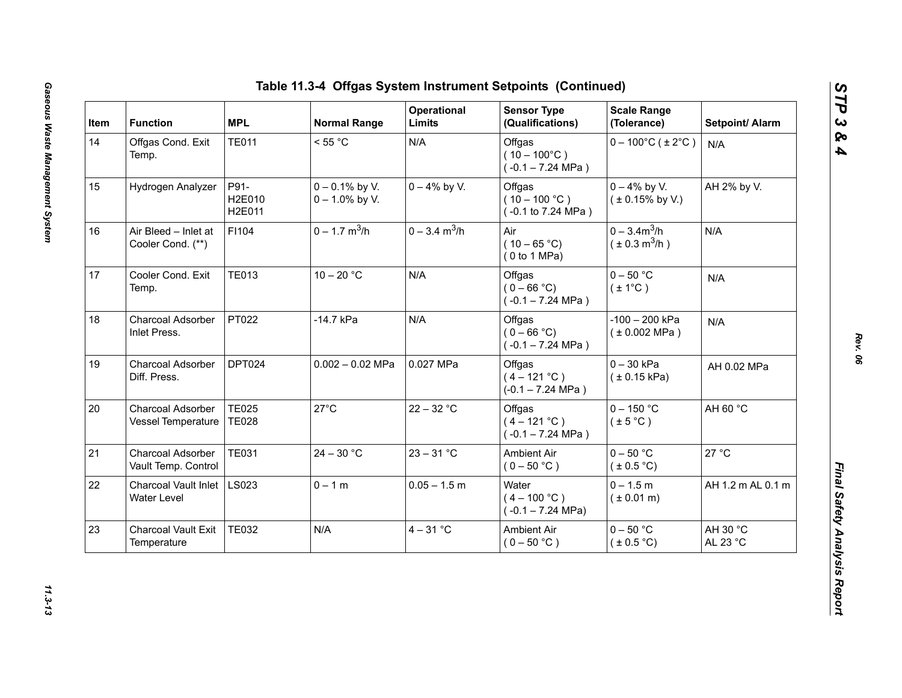| Item | <b>Function</b>                            | <b>MPL</b>                   | <b>Normal Range</b>                    | Operational<br>Limits       | <b>Sensor Type</b><br>(Qualifications)                  | <b>Scale Range</b><br>(Tolerance)           | Setpoint/ Alarm      |
|------|--------------------------------------------|------------------------------|----------------------------------------|-----------------------------|---------------------------------------------------------|---------------------------------------------|----------------------|
| 14   | Offgas Cond. Exit<br>Temp.                 | <b>TE011</b>                 | < 55 °C                                | N/A                         | Offgas<br>$(10 - 100^{\circ}C)$<br>$(-0.1 - 7.24$ MPa)  | $0 - 100^{\circ}$ C (±2°C)                  | N/A                  |
| 15   | Hydrogen Analyzer                          | P91-<br>H2E010<br>H2E011     | $0 - 0.1\%$ by V.<br>$0 - 1.0\%$ by V. | $0 - 4\%$ by V.             | Offgas<br>$(10 - 100 °C)$<br>(-0.1 to 7.24 MPa)         | $0 - 4\%$ by V.<br>$(± 0.15\%$ by V.)       | AH 2% by V.          |
| 16   | Air Bleed - Inlet at<br>Cooler Cond. (**)  | F1104                        | $0 - 1.7$ m <sup>3</sup> /h            | $0 - 3.4$ m <sup>3</sup> /h | Air<br>$(10 - 65 °C)$<br>(0 to 1 MPa)                   | $0 - 3.4m^3/h$<br>$(\pm 0.3 \text{ m}^3/h)$ | N/A                  |
| 17   | Cooler Cond. Exit<br>Temp.                 | <b>TE013</b>                 | $10 - 20 °C$                           | N/A                         | Offgas<br>$(0 - 66 °C)$<br>$(-0.1 - 7.24$ MPa)          | $0 - 50$ °C<br>$(\pm 1^{\circ}C)$           | N/A                  |
| 18   | Charcoal Adsorber<br>Inlet Press.          | PT022                        | -14.7 kPa                              | N/A                         | Offgas<br>$(0 - 66 °C)$<br>$(-0.1 - 7.24 \text{ MPa})$  | $-100 - 200$ kPa<br>(± 0.002 MPa)           | N/A                  |
| 19   | Charcoal Adsorber<br>Diff. Press.          | DPT024                       | $0.002 - 0.02$ MPa                     | 0.027 MPa                   | Offgas<br>$(4 - 121 °C)$<br>$(-0.1 - 7.24 \text{ MPa})$ | $0 - 30$ kPa<br>(± 0.15 kPa)                | AH 0.02 MPa          |
| 20   | Charcoal Adsorber<br>Vessel Temperature    | <b>TE025</b><br><b>TE028</b> | $27^{\circ}$ C                         | $22 - 32 °C$                | Offgas<br>$(4 - 121 °C)$<br>$(-0.1 - 7.24$ MPa)         | $0 - 150$ °C<br>$(\pm 5^{\circ}C)$          | AH 60 °C             |
| 21   | Charcoal Adsorber<br>Vault Temp. Control   | <b>TE031</b>                 | $24 - 30$ °C                           | $23 - 31 °C$                | <b>Ambient Air</b><br>$(0 - 50 °C)$                     | $0 - 50$ °C<br>(± 0.5 °C)                   | 27 °C                |
| 22   | <b>Charcoal Vault Inlet</b><br>Water Level | <b>LS023</b>                 | $0 - 1 m$                              | $0.05 - 1.5$ m              | Water<br>$(4 - 100 °C)$<br>$(-0.1 - 7.24 \text{ MPa})$  | $0 - 1.5 m$<br>$(* 0.01 m)$                 | AH 1.2 m AL 0.1 m    |
| 23   | <b>Charcoal Vault Exit</b><br>Temperature  | <b>TE032</b>                 | N/A                                    | $4 - 31$ °C                 | Ambient Air<br>$(0 - 50 °C)$                            | $0 - 50$ °C<br>$(\pm 0.5^{\circ}C)$         | AH 30 °C<br>AL 23 °C |

*STP 3 & 4*

11.3-13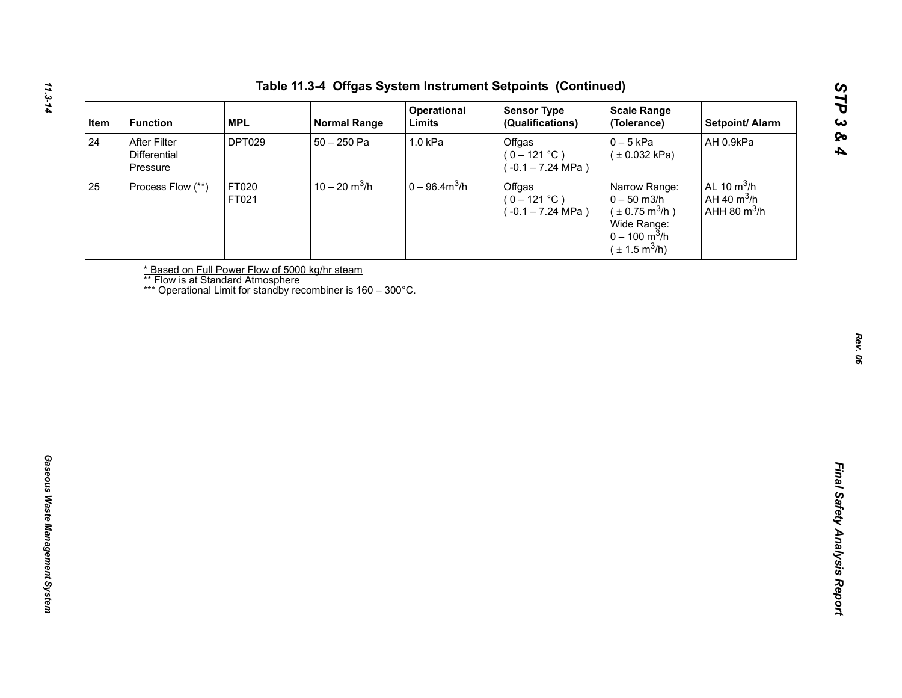| After Filter<br><b>DPT029</b><br>$50 - 250$ Pa<br>1.0 kPa<br>Offgas<br>$0 - 5$ kPa<br>AH 0.9kPa<br>Differential<br>$(0 - 121 °C)$<br>(± 0.032 kPa)<br>$(-0.1 - 7.24 \text{ MPa})$<br>Pressure<br>$10 - 20$ m <sup>3</sup> /h<br>$0 - 96.4 m3/h$<br>AL 10 $m^3/h$<br>FT020<br>Offgas<br>Process Flow (**)<br>Narrow Range:<br>AH 40 $m^3/h$<br>$(0 - 121 °C)$<br>$0 - 50$ m3/h<br>FT021<br>AHH 80 $m^3/h$<br>$(\pm 0.75 \text{ m}^3/h)$<br>$(-0.1 - 7.24 \text{ MPa})$<br>Wide Range:<br>$0 - 100 \text{ m}^3/h$<br>$(\pm 1.5 \text{ m}^3/h)$<br>* Based on Full Power Flow of 5000 kg/hr steam<br><b>** Flow is at Standard Atmosphere</b><br>*** Operational Limit for standby recombiner is 160 - 300°C. |    | <b>MPL</b><br><b>Function</b> | <b>Normal Range</b> | Operational<br>Limits | <b>Sensor Type</b><br>(Qualifications) | <b>Scale Range</b><br>(Tolerance) | Setpoint/ Alarm |
|------------------------------------------------------------------------------------------------------------------------------------------------------------------------------------------------------------------------------------------------------------------------------------------------------------------------------------------------------------------------------------------------------------------------------------------------------------------------------------------------------------------------------------------------------------------------------------------------------------------------------------------------------------------------------------------------------------|----|-------------------------------|---------------------|-----------------------|----------------------------------------|-----------------------------------|-----------------|
|                                                                                                                                                                                                                                                                                                                                                                                                                                                                                                                                                                                                                                                                                                            | 24 |                               |                     |                       |                                        |                                   |                 |
|                                                                                                                                                                                                                                                                                                                                                                                                                                                                                                                                                                                                                                                                                                            | 25 |                               |                     |                       |                                        |                                   |                 |
|                                                                                                                                                                                                                                                                                                                                                                                                                                                                                                                                                                                                                                                                                                            |    |                               |                     |                       |                                        |                                   |                 |
|                                                                                                                                                                                                                                                                                                                                                                                                                                                                                                                                                                                                                                                                                                            |    |                               |                     |                       |                                        |                                   |                 |
|                                                                                                                                                                                                                                                                                                                                                                                                                                                                                                                                                                                                                                                                                                            |    |                               |                     |                       |                                        |                                   |                 |
|                                                                                                                                                                                                                                                                                                                                                                                                                                                                                                                                                                                                                                                                                                            |    |                               |                     |                       |                                        |                                   |                 |
|                                                                                                                                                                                                                                                                                                                                                                                                                                                                                                                                                                                                                                                                                                            |    |                               |                     |                       |                                        |                                   |                 |
|                                                                                                                                                                                                                                                                                                                                                                                                                                                                                                                                                                                                                                                                                                            |    |                               |                     |                       |                                        |                                   |                 |
|                                                                                                                                                                                                                                                                                                                                                                                                                                                                                                                                                                                                                                                                                                            |    |                               |                     |                       |                                        |                                   |                 |
|                                                                                                                                                                                                                                                                                                                                                                                                                                                                                                                                                                                                                                                                                                            |    |                               |                     |                       |                                        |                                   |                 |
|                                                                                                                                                                                                                                                                                                                                                                                                                                                                                                                                                                                                                                                                                                            |    |                               |                     |                       |                                        |                                   |                 |
|                                                                                                                                                                                                                                                                                                                                                                                                                                                                                                                                                                                                                                                                                                            |    |                               |                     |                       |                                        |                                   |                 |
|                                                                                                                                                                                                                                                                                                                                                                                                                                                                                                                                                                                                                                                                                                            |    |                               |                     |                       |                                        |                                   |                 |
|                                                                                                                                                                                                                                                                                                                                                                                                                                                                                                                                                                                                                                                                                                            |    |                               |                     |                       |                                        |                                   |                 |
|                                                                                                                                                                                                                                                                                                                                                                                                                                                                                                                                                                                                                                                                                                            |    |                               |                     |                       |                                        |                                   |                 |
|                                                                                                                                                                                                                                                                                                                                                                                                                                                                                                                                                                                                                                                                                                            |    |                               |                     |                       |                                        |                                   |                 |
|                                                                                                                                                                                                                                                                                                                                                                                                                                                                                                                                                                                                                                                                                                            |    |                               |                     |                       |                                        |                                   |                 |
|                                                                                                                                                                                                                                                                                                                                                                                                                                                                                                                                                                                                                                                                                                            |    |                               |                     |                       |                                        |                                   |                 |
|                                                                                                                                                                                                                                                                                                                                                                                                                                                                                                                                                                                                                                                                                                            |    |                               |                     |                       |                                        |                                   |                 |
|                                                                                                                                                                                                                                                                                                                                                                                                                                                                                                                                                                                                                                                                                                            |    |                               |                     |                       |                                        |                                   |                 |
|                                                                                                                                                                                                                                                                                                                                                                                                                                                                                                                                                                                                                                                                                                            |    |                               |                     |                       |                                        |                                   |                 |
|                                                                                                                                                                                                                                                                                                                                                                                                                                                                                                                                                                                                                                                                                                            |    |                               |                     |                       |                                        |                                   |                 |
|                                                                                                                                                                                                                                                                                                                                                                                                                                                                                                                                                                                                                                                                                                            |    |                               |                     |                       |                                        |                                   |                 |

*STP 3 & 4*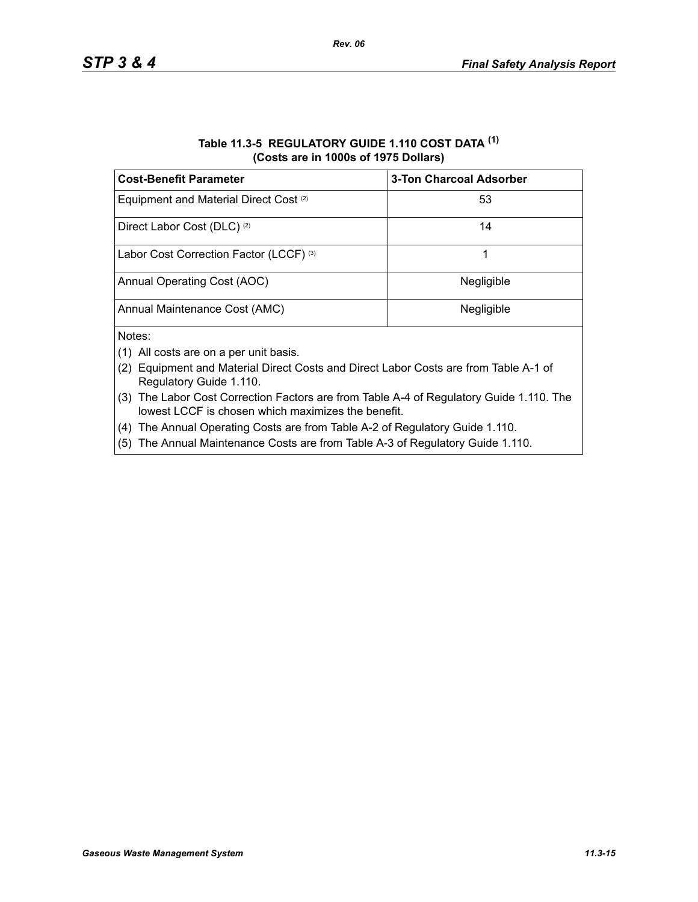#### **Table 11.3-5 REGULATORY GUIDE 1.110 COST DATA (1) (Costs are in 1000s of 1975 Dollars)**

| <b>Cost-Benefit Parameter</b>                     | <b>3-Ton Charcoal Adsorber</b> |
|---------------------------------------------------|--------------------------------|
| Equipment and Material Direct Cost <sup>(2)</sup> | 53                             |
| Direct Labor Cost (DLC) <sup>(2)</sup>            | 14                             |
| Labor Cost Correction Factor (LCCF) (3)           |                                |
| Annual Operating Cost (AOC)                       | Negligible                     |
| Annual Maintenance Cost (AMC)                     | Negligible                     |
| Notes:                                            |                                |

- (1) All costs are on a per unit basis.
- (2) Equipment and Material Direct Costs and Direct Labor Costs are from Table A-1 of Regulatory Guide 1.110.
- (3) The Labor Cost Correction Factors are from Table A-4 of Regulatory Guide 1.110. The lowest LCCF is chosen which maximizes the benefit.
- (4) The Annual Operating Costs are from Table A-2 of Regulatory Guide 1.110.
- (5) The Annual Maintenance Costs are from Table A-3 of Regulatory Guide 1.110.